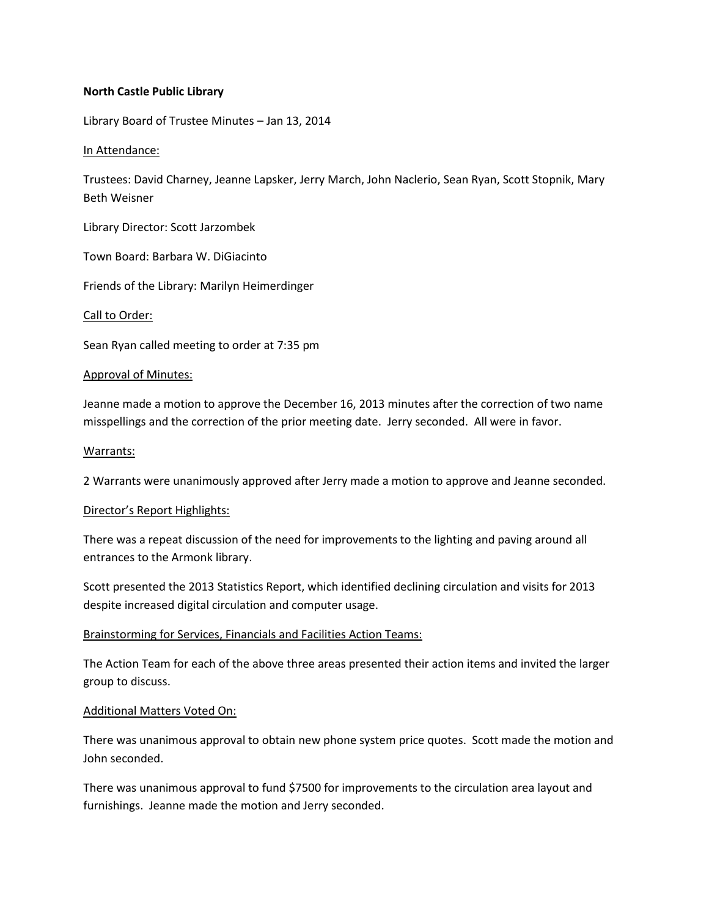## **North Castle Public Library**

Library Board of Trustee Minutes – Jan 13, 2014

#### In Attendance:

Trustees: David Charney, Jeanne Lapsker, Jerry March, John Naclerio, Sean Ryan, Scott Stopnik, Mary Beth Weisner

Library Director: Scott Jarzombek

Town Board: Barbara W. DiGiacinto

Friends of the Library: Marilyn Heimerdinger

## Call to Order:

Sean Ryan called meeting to order at 7:35 pm

## Approval of Minutes:

Jeanne made a motion to approve the December 16, 2013 minutes after the correction of two name misspellings and the correction of the prior meeting date. Jerry seconded. All were in favor.

## Warrants:

2 Warrants were unanimously approved after Jerry made a motion to approve and Jeanne seconded.

#### Director's Report Highlights:

There was a repeat discussion of the need for improvements to the lighting and paving around all entrances to the Armonk library.

Scott presented the 2013 Statistics Report, which identified declining circulation and visits for 2013 despite increased digital circulation and computer usage.

# Brainstorming for Services, Financials and Facilities Action Teams:

The Action Team for each of the above three areas presented their action items and invited the larger group to discuss.

# Additional Matters Voted On:

There was unanimous approval to obtain new phone system price quotes. Scott made the motion and John seconded.

There was unanimous approval to fund \$7500 for improvements to the circulation area layout and furnishings. Jeanne made the motion and Jerry seconded.